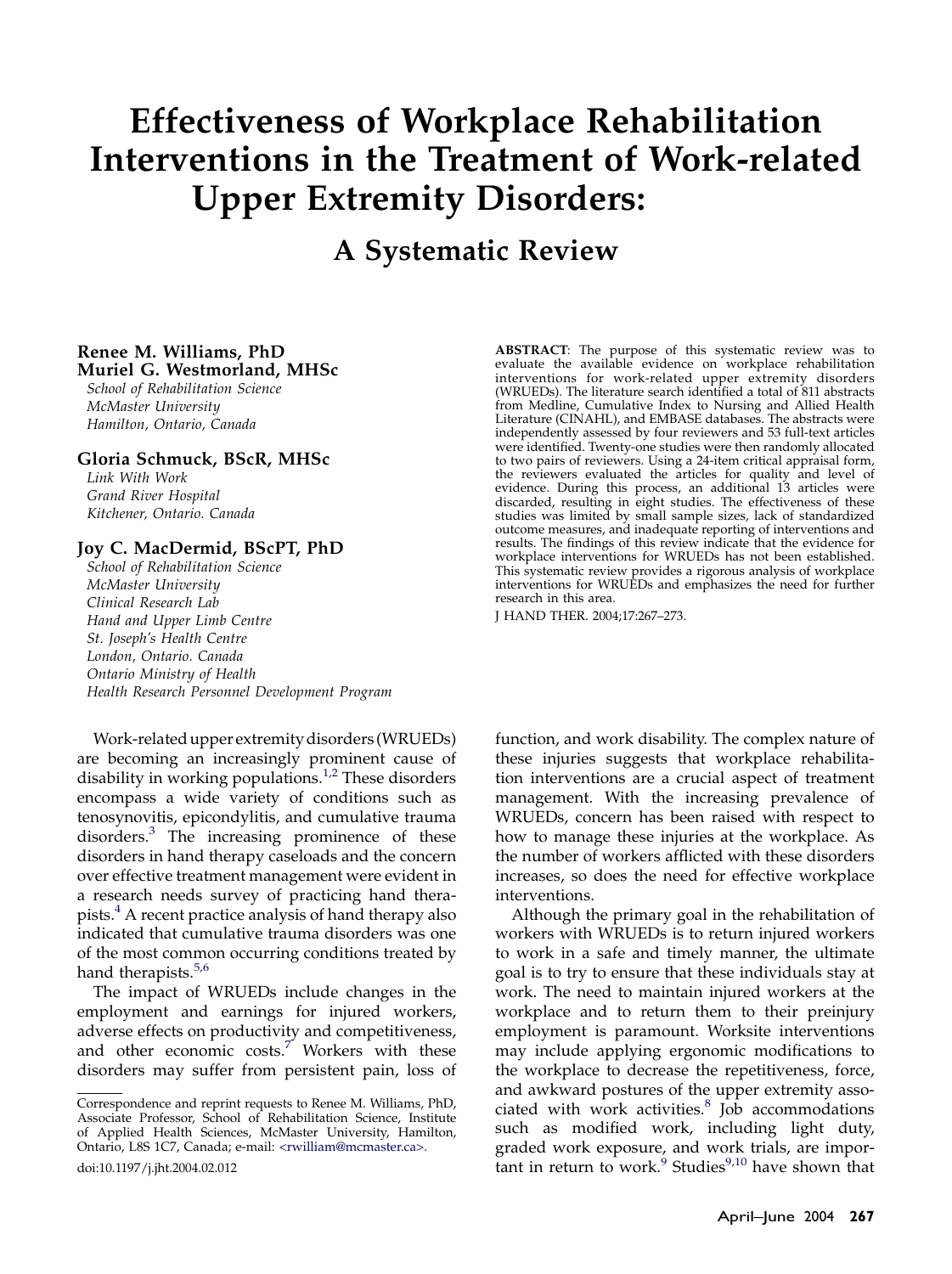# Effectiveness of Workplace Rehabilitation Interventions in the Treatment of Work-related Upper Extremity Disorders:

## A Systematic Review

#### Renee M. Williams, PhD Muriel G. Westmorland, MHSc

School of Rehabilitation Science McMaster University Hamilton, Ontario, Canada

#### Gloria Schmuck, BScR, MHSc

Link With Work Grand River Hospital Kitchener, Ontario. Canada

#### Joy C. MacDermid, BScPT, PhD

School of Rehabilitation Science McMaster University Clinical Research Lab Hand and Upper Limb Centre St. Joseph's Health Centre London, Ontario. Canada Ontario Ministry of Health Health Research Personnel Development Program

Work-related upper extremity disorders (WRUEDs) are becoming an increasingly prominent cause of disability in working populations.<sup>[1,2](#page-6-0)</sup> These disorders encompass a wide variety of conditions such as tenosynovitis, epicondylitis, and cumulative trauma disorders.<sup>[3](#page-6-0)</sup> The increasing prominence of these disorders in hand therapy caseloads and the concern over effective treatment management were evident in a research needs survey of practicing hand therapists.[4](#page-6-0) A recent practice analysis of hand therapy also indicated that cumulative trauma disorders was one of the most common occurring conditions treated by hand therapists.<sup>[5,6](#page-6-0)</sup>

The impact of WRUEDs include changes in the employment and earnings for injured workers, adverse effects on productivity and competitiveness, and other economic  $costs<sup>7</sup>$  $costs<sup>7</sup>$  $costs<sup>7</sup>$  Workers with these disorders may suffer from persistent pain, loss of

doi:10.1197/j.jht.2004.02.012

ABSTRACT: The purpose of this systematic review was to evaluate the available evidence on workplace rehabilitation interventions for work-related upper extremity disorders (WRUEDs). The literature search identified a total of 811 abstracts from Medline, Cumulative Index to Nursing and Allied Health Literature (CINAHL), and EMBASE databases. The abstracts were independently assessed by four reviewers and 53 full-text articles were identified. Twenty-one studies were then randomly allocated to two pairs of reviewers. Using a 24-item critical appraisal form, the reviewers evaluated the articles for quality and level of evidence. During this process, an additional 13 articles were discarded, resulting in eight studies. The effectiveness of these studies was limited by small sample sizes, lack of standardized outcome measures, and inadequate reporting of interventions and results. The findings of this review indicate that the evidence for workplace interventions for WRUEDs has not been established. This systematic review provides a rigorous analysis of workplace interventions for WRUEDs and emphasizes the need for further research in this area.

J HAND THER. 2004;17:267–273.

function, and work disability. The complex nature of these injuries suggests that workplace rehabilitation interventions are a crucial aspect of treatment management. With the increasing prevalence of WRUEDs, concern has been raised with respect to how to manage these injuries at the workplace. As the number of workers afflicted with these disorders increases, so does the need for effective workplace interventions.

Although the primary goal in the rehabilitation of workers with WRUEDs is to return injured workers to work in a safe and timely manner, the ultimate goal is to try to ensure that these individuals stay at work. The need to maintain injured workers at the workplace and to return them to their preinjury employment is paramount. Worksite interventions may include applying ergonomic modifications to the workplace to decrease the repetitiveness, force, and awkward postures of the upper extremity associated with work activities. $8$  Job accommodations such as modified work, including light duty, graded work exposure, and work trials, are impor- $\tanh$  in return to work.<sup>[9](#page-6-0)</sup> Studies<sup>9,10</sup> have shown that

Correspondence and reprint requests to Renee M. Williams, PhD, Associate Professor, School of Rehabilitation Science, Institute of Applied Health Sciences, McMaster University, Hamilton, Ontario, L8S 1C7, Canada; e-mail: [<rwilliam@mcmaster.ca>.](mailto:rwilliam@mcmaster.ca)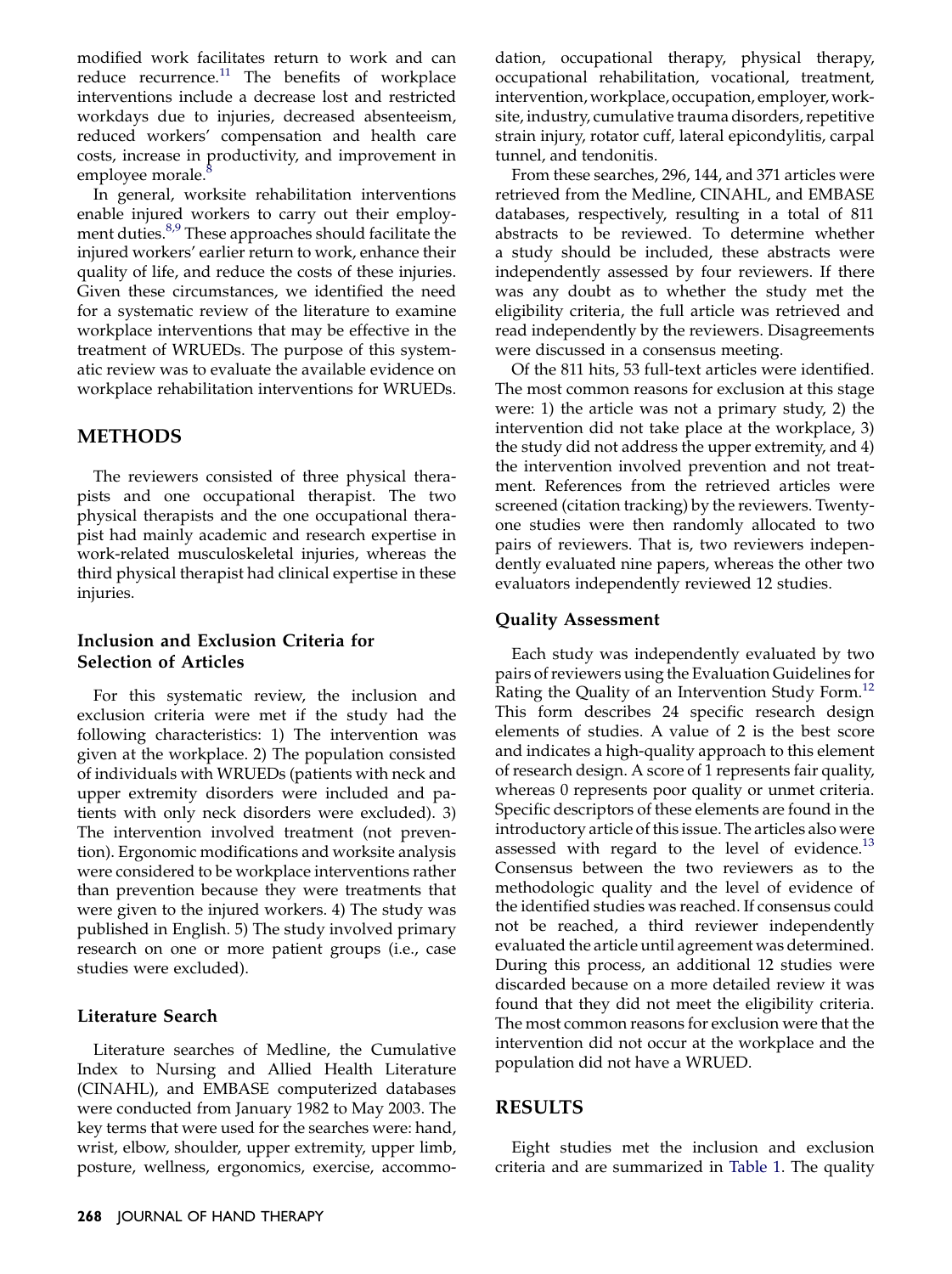modified work facilitates return to work and can reduce recurrence.<sup>[11](#page-6-0)</sup> The benefits of workplace interventions include a decrease lost and restricted workdays due to injuries, decreased absenteeism, reduced workers' compensation and health care costs, increase in productivity, and improvement in employee morale.<sup>[8](#page-6-0)</sup>

In general, worksite rehabilitation interventions enable injured workers to carry out their employ-ment duties.<sup>[8,9](#page-6-0)</sup> These approaches should facilitate the injured workers' earlier return to work, enhance their quality of life, and reduce the costs of these injuries. Given these circumstances, we identified the need for a systematic review of the literature to examine workplace interventions that may be effective in the treatment of WRUEDs. The purpose of this systematic review was to evaluate the available evidence on workplace rehabilitation interventions for WRUEDs.

## METHODS

The reviewers consisted of three physical therapists and one occupational therapist. The two physical therapists and the one occupational therapist had mainly academic and research expertise in work-related musculoskeletal injuries, whereas the third physical therapist had clinical expertise in these injuries.

## Inclusion and Exclusion Criteria for Selection of Articles

For this systematic review, the inclusion and exclusion criteria were met if the study had the following characteristics: 1) The intervention was given at the workplace. 2) The population consisted of individuals with WRUEDs (patients with neck and upper extremity disorders were included and patients with only neck disorders were excluded). 3) The intervention involved treatment (not prevention). Ergonomic modifications and worksite analysis were considered to be workplace interventions rather than prevention because they were treatments that were given to the injured workers. 4) The study was published in English. 5) The study involved primary research on one or more patient groups (i.e., case studies were excluded).

#### Literature Search

Literature searches of Medline, the Cumulative Index to Nursing and Allied Health Literature (CINAHL), and EMBASE computerized databases were conducted from January 1982 to May 2003. The key terms that were used for the searches were: hand, wrist, elbow, shoulder, upper extremity, upper limb, posture, wellness, ergonomics, exercise, accommodation, occupational therapy, physical therapy, occupational rehabilitation, vocational, treatment, intervention, workplace, occupation, employer, worksite, industry, cumulative trauma disorders, repetitive strain injury, rotator cuff, lateral epicondylitis, carpal tunnel, and tendonitis.

From these searches, 296, 144, and 371 articles were retrieved from the Medline, CINAHL, and EMBASE databases, respectively, resulting in a total of 811 abstracts to be reviewed. To determine whether a study should be included, these abstracts were independently assessed by four reviewers. If there was any doubt as to whether the study met the eligibility criteria, the full article was retrieved and read independently by the reviewers. Disagreements were discussed in a consensus meeting.

Of the 811 hits, 53 full-text articles were identified. The most common reasons for exclusion at this stage were: 1) the article was not a primary study, 2) the intervention did not take place at the workplace, 3) the study did not address the upper extremity, and 4) the intervention involved prevention and not treatment. References from the retrieved articles were screened (citation tracking) by the reviewers. Twentyone studies were then randomly allocated to two pairs of reviewers. That is, two reviewers independently evaluated nine papers, whereas the other two evaluators independently reviewed 12 studies.

#### Quality Assessment

Each study was independently evaluated by two pairs of reviewers using the Evaluation Guidelines for Rating the Quality of an Intervention Study Form.<sup>12</sup> This form describes 24 specific research design elements of studies. A value of 2 is the best score and indicates a high-quality approach to this element of research design. A score of 1 represents fair quality, whereas 0 represents poor quality or unmet criteria. Specific descriptors of these elements are found in the introductory article of this issue. The articles also were assessed with regard to the level of evidence. $^{13}$ Consensus between the two reviewers as to the methodologic quality and the level of evidence of the identified studies was reached. If consensus could not be reached, a third reviewer independently evaluated the article until agreement was determined. During this process, an additional 12 studies were discarded because on a more detailed review it was found that they did not meet the eligibility criteria. The most common reasons for exclusion were that the intervention did not occur at the workplace and the population did not have a WRUED.

#### RESULTS

Eight studies met the inclusion and exclusion criteria and are summarized in [Table 1](#page-2-0). The quality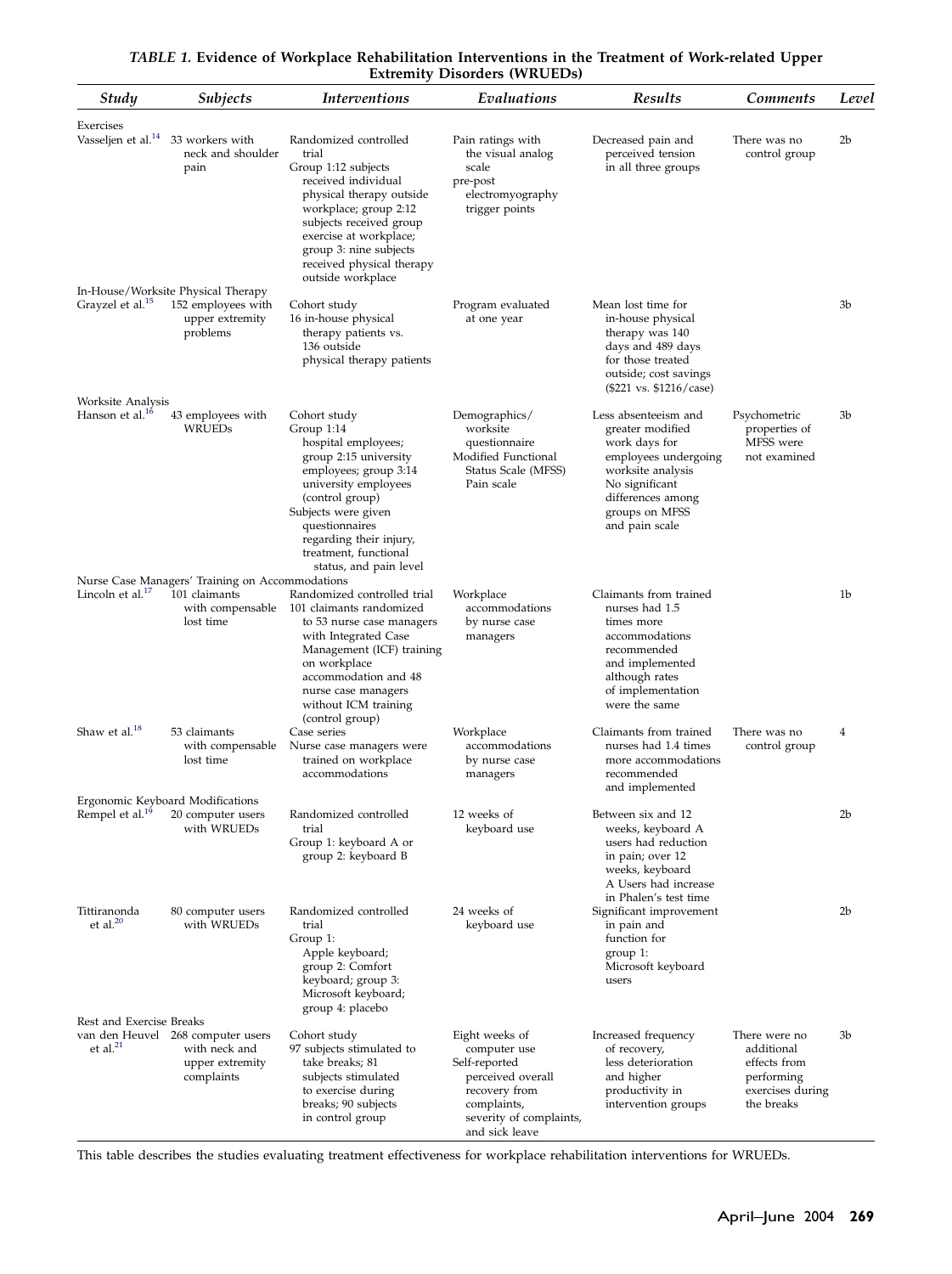<span id="page-2-0"></span>

| Study<br><i>Subjects</i>                         |                                                                                                   | <i>Interventions</i>                                                                                                                                                                                                                                                  | Evaluations                                                                                                                                       | <b>Results</b>                                                                                                                                                                    | Comments                                                                                    | Level          |  |
|--------------------------------------------------|---------------------------------------------------------------------------------------------------|-----------------------------------------------------------------------------------------------------------------------------------------------------------------------------------------------------------------------------------------------------------------------|---------------------------------------------------------------------------------------------------------------------------------------------------|-----------------------------------------------------------------------------------------------------------------------------------------------------------------------------------|---------------------------------------------------------------------------------------------|----------------|--|
| Exercises<br>Vasseljen et al. <sup>14</sup>      | 33 workers with<br>neck and shoulder<br>pain                                                      | Randomized controlled<br>trial<br>Group 1:12 subjects<br>received individual<br>physical therapy outside<br>workplace; group 2:12<br>subjects received group<br>exercise at workplace;<br>group 3: nine subjects<br>received physical therapy<br>outside workplace    | Pain ratings with<br>the visual analog<br>scale<br>pre-post<br>electromyography<br>trigger points                                                 | Decreased pain and<br>perceived tension<br>in all three groups                                                                                                                    | There was no<br>control group                                                               | 2b             |  |
| Grayzel et al. <sup>15</sup>                     | In-House/Worksite Physical Therapy<br>152 employees with<br>upper extremity<br>problems           | Cohort study<br>16 in-house physical<br>therapy patients vs.<br>136 outside<br>physical therapy patients                                                                                                                                                              | Program evaluated<br>at one year                                                                                                                  | Mean lost time for<br>in-house physical<br>therapy was 140<br>days and 489 days<br>for those treated<br>outside; cost savings<br>(\$221 vs. \$1216/case)                          |                                                                                             | 3b             |  |
| Worksite Analysis<br>Hanson et al. <sup>16</sup> | 43 employees with<br><b>WRUEDs</b>                                                                | Cohort study<br>Group 1:14<br>hospital employees;<br>group 2:15 university<br>employees; group 3:14<br>university employees<br>(control group)<br>Subjects were given<br>questionnaires<br>regarding their injury,<br>treatment, functional<br>status, and pain level | Demographics/<br>worksite<br>questionnaire<br>Modified Functional<br>Status Scale (MFSS)<br>Pain scale                                            | Less absenteeism and<br>greater modified<br>work days for<br>employees undergoing<br>worksite analysis<br>No significant<br>differences among<br>groups on MFSS<br>and pain scale | Psychometric<br>properties of<br>MFSS were<br>not examined                                  | 3b             |  |
| Lincoln et al. $^{17}$                           | Nurse Case Managers' Training on Accommodations<br>101 claimants<br>with compensable<br>lost time | Randomized controlled trial<br>101 claimants randomized<br>to 53 nurse case managers<br>with Integrated Case<br>Management (ICF) training<br>on workplace<br>accommodation and 48<br>nurse case managers<br>without ICM training                                      | Workplace<br>accommodations<br>by nurse case<br>managers                                                                                          | Claimants from trained<br>nurses had 1.5<br>times more<br>accommodations<br>recommended<br>and implemented<br>although rates<br>of implementation<br>were the same                |                                                                                             | 1b             |  |
| Shaw et al. <sup>18</sup>                        | 53 claimants<br>with compensable<br>lost time                                                     | (control group)<br>Case series<br>Nurse case managers were<br>trained on workplace<br>accommodations                                                                                                                                                                  | Workplace<br>accommodations<br>by nurse case<br>managers                                                                                          | Claimants from trained<br>nurses had 1.4 times<br>more accommodations<br>recommended<br>and implemented                                                                           | There was no<br>control group                                                               | 4              |  |
| Rempel et al. <sup>19</sup>                      | Ergonomic Keyboard Modifications<br>20 computer users<br>with WRUEDs                              | Randomized controlled<br>trial<br>Group 1: keyboard A or<br>group 2: keyboard B                                                                                                                                                                                       | 12 weeks of<br>keyboard use                                                                                                                       | Between six and 12<br>weeks, keyboard A<br>users had reduction<br>in pain; over 12<br>weeks, keyboard<br>A Users had increase                                                     |                                                                                             | 2b             |  |
| Tittiranonda<br>et al. $20$                      | 80 computer users<br>with WRUEDs                                                                  | Randomized controlled<br>trial<br>Group 1:<br>Apple keyboard;<br>group 2: Comfort<br>keyboard; group 3:<br>Microsoft keyboard;<br>group 4: placebo                                                                                                                    | 24 weeks of<br>keyboard use                                                                                                                       | in Phalen's test time<br>Significant improvement<br>in pain and<br>function for<br>group 1:<br>Microsoft keyboard<br>users                                                        |                                                                                             | 2 <sub>b</sub> |  |
| Rest and Exercise Breaks<br>et al. $^{21}$       | van den Heuvel 268 computer users<br>with neck and<br>upper extremity<br>complaints               | Cohort study<br>97 subjects stimulated to<br>take breaks; 81<br>subjects stimulated<br>to exercise during<br>breaks; 90 subjects<br>in control group                                                                                                                  | Eight weeks of<br>computer use<br>Self-reported<br>perceived overall<br>recovery from<br>complaints,<br>severity of complaints,<br>and sick leave | Increased frequency<br>of recovery,<br>less deterioration<br>and higher<br>productivity in<br>intervention groups                                                                 | There were no<br>additional<br>effects from<br>performing<br>exercises during<br>the breaks | 3b             |  |

#### TABLE 1. Evidence of Workplace Rehabilitation Interventions in the Treatment of Work-related Upper Extremity Disorders (WRUEDs)

This table describes the studies evaluating treatment effectiveness for workplace rehabilitation interventions for WRUEDs.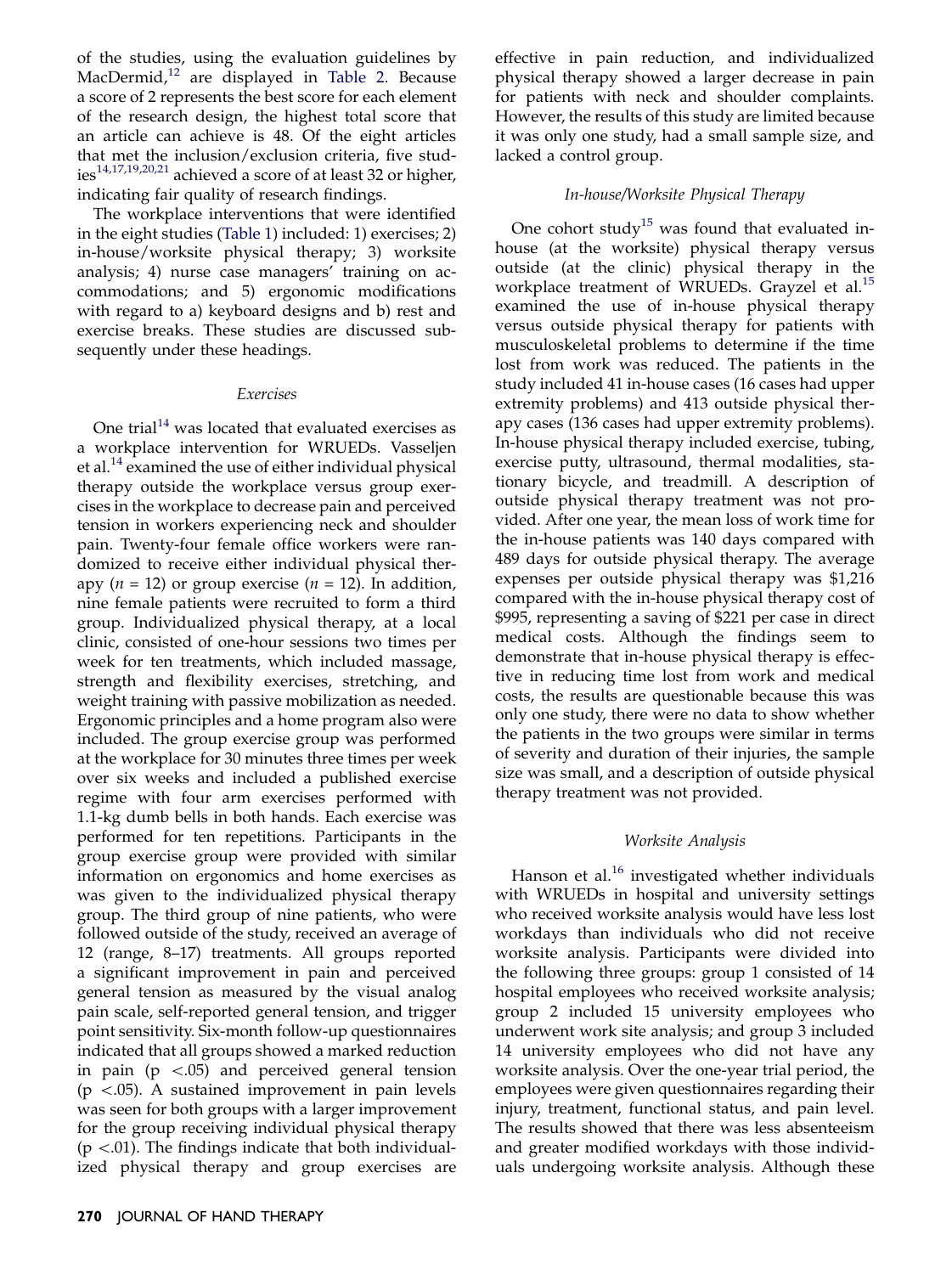of the studies, using the evaluation guidelines by MacDermid,<sup>[12](#page-6-0)</sup> are displayed in [Table 2](#page-4-0). Because a score of 2 represents the best score for each element of the research design, the highest total score that an article can achieve is 48. Of the eight articles that met the inclusion/exclusion criteria, five stud-ies<sup>[14,17,19,20,21](#page-6-0)</sup> achieved a score of at least 32 or higher, indicating fair quality of research findings.

The workplace interventions that were identified in the eight studies ([Table 1\)](#page-2-0) included: 1) exercises; 2) in-house/worksite physical therapy; 3) worksite analysis; 4) nurse case managers' training on accommodations; and 5) ergonomic modifications with regard to a) keyboard designs and b) rest and exercise breaks. These studies are discussed subsequently under these headings.

#### Exercises

One trial $14$  was located that evaluated exercises as a workplace intervention for WRUEDs. Vasseljen et al.<sup>[14](#page-6-0)</sup> examined the use of either individual physical therapy outside the workplace versus group exercises in the workplace to decrease pain and perceived tension in workers experiencing neck and shoulder pain. Twenty-four female office workers were randomized to receive either individual physical therapy ( $n = 12$ ) or group exercise ( $n = 12$ ). In addition, nine female patients were recruited to form a third group. Individualized physical therapy, at a local clinic, consisted of one-hour sessions two times per week for ten treatments, which included massage, strength and flexibility exercises, stretching, and weight training with passive mobilization as needed. Ergonomic principles and a home program also were included. The group exercise group was performed at the workplace for 30 minutes three times per week over six weeks and included a published exercise regime with four arm exercises performed with 1.1-kg dumb bells in both hands. Each exercise was performed for ten repetitions. Participants in the group exercise group were provided with similar information on ergonomics and home exercises as was given to the individualized physical therapy group. The third group of nine patients, who were followed outside of the study, received an average of 12 (range, 8–17) treatments. All groups reported a significant improvement in pain and perceived general tension as measured by the visual analog pain scale, self-reported general tension, and trigger point sensitivity. Six-month follow-up questionnaires indicated that all groups showed a marked reduction in pain ( $p \lt 0.05$ ) and perceived general tension  $(p \lt 0.05)$ . A sustained improvement in pain levels was seen for both groups with a larger improvement for the group receiving individual physical therapy  $(p \lt 0.01)$ . The findings indicate that both individualized physical therapy and group exercises are effective in pain reduction, and individualized physical therapy showed a larger decrease in pain for patients with neck and shoulder complaints. However, the results of this study are limited because it was only one study, had a small sample size, and lacked a control group.

## In-house/Worksite Physical Therapy

One cohort study<sup>[15](#page-6-0)</sup> was found that evaluated inhouse (at the worksite) physical therapy versus outside (at the clinic) physical therapy in the workplace treatment of WRUEDs. Grayzel et al.<sup>[15](#page-6-0)</sup> examined the use of in-house physical therapy versus outside physical therapy for patients with musculoskeletal problems to determine if the time lost from work was reduced. The patients in the study included 41 in-house cases (16 cases had upper extremity problems) and 413 outside physical therapy cases (136 cases had upper extremity problems). In-house physical therapy included exercise, tubing, exercise putty, ultrasound, thermal modalities, stationary bicycle, and treadmill. A description of outside physical therapy treatment was not provided. After one year, the mean loss of work time for the in-house patients was 140 days compared with 489 days for outside physical therapy. The average expenses per outside physical therapy was \$1,216 compared with the in-house physical therapy cost of \$995, representing a saving of \$221 per case in direct medical costs. Although the findings seem to demonstrate that in-house physical therapy is effective in reducing time lost from work and medical costs, the results are questionable because this was only one study, there were no data to show whether the patients in the two groups were similar in terms of severity and duration of their injuries, the sample size was small, and a description of outside physical therapy treatment was not provided.

## Worksite Analysis

Hanson et al. $^{16}$  $^{16}$  $^{16}$  investigated whether individuals with WRUEDs in hospital and university settings who received worksite analysis would have less lost workdays than individuals who did not receive worksite analysis. Participants were divided into the following three groups: group 1 consisted of 14 hospital employees who received worksite analysis; group 2 included 15 university employees who underwent work site analysis; and group 3 included 14 university employees who did not have any worksite analysis. Over the one-year trial period, the employees were given questionnaires regarding their injury, treatment, functional status, and pain level. The results showed that there was less absenteeism and greater modified workdays with those individuals undergoing worksite analysis. Although these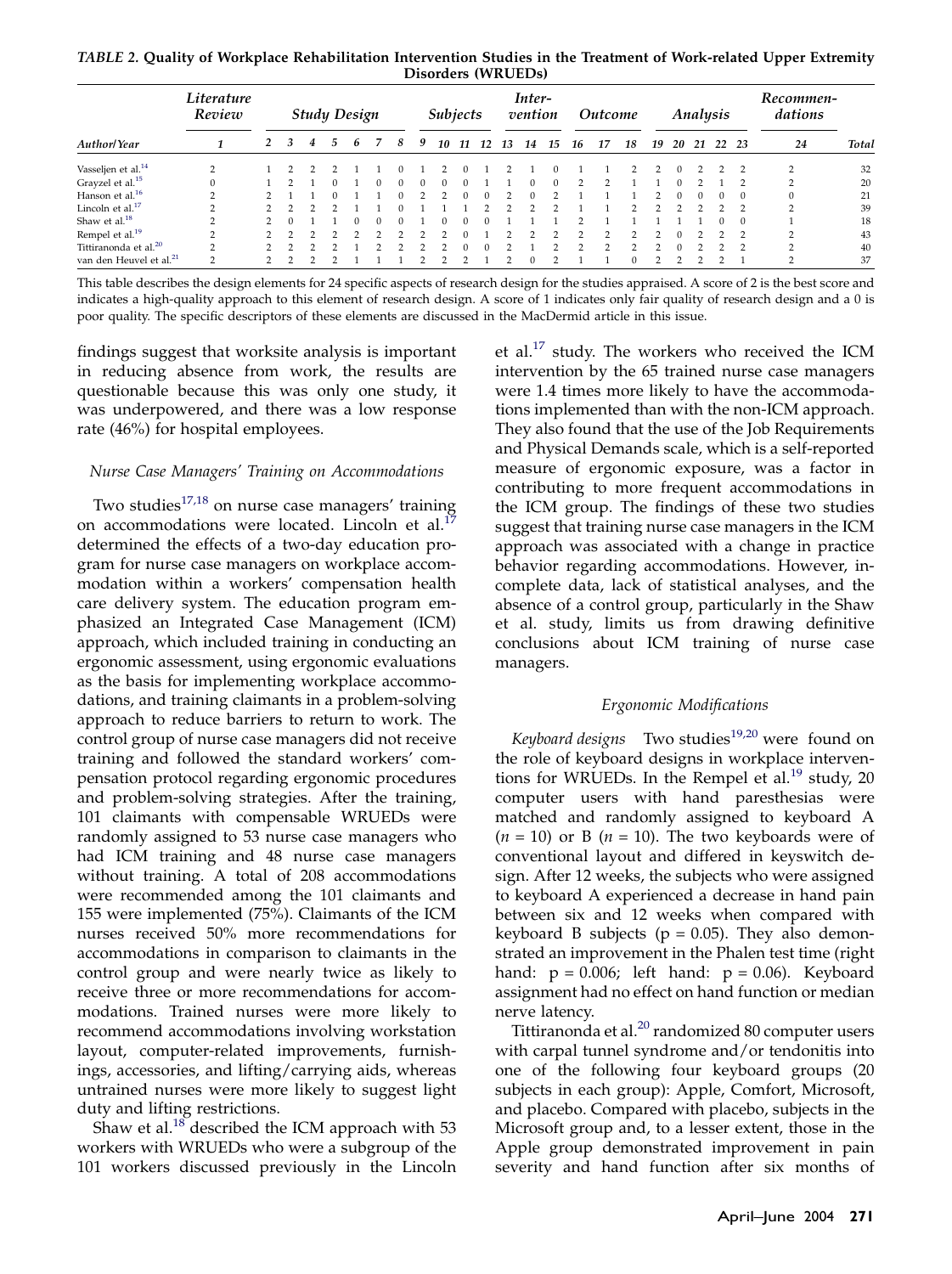<span id="page-4-0"></span>TABLE 2. Quality of Workplace Rehabilitation Intervention Studies in the Treatment of Work-related Upper Extremity Disorders (WRUEDs)

|                                     | Literature<br>Review            | <b>Study Design</b> |   |   |   |   |  | <b>Subjects</b> |   |    | Inter-<br>vention |    |    | <i>Outcome</i> |    |    | Analysis |    |        |    |    | Recommen-<br>dations |               |        |              |
|-------------------------------------|---------------------------------|---------------------|---|---|---|---|--|-----------------|---|----|-------------------|----|----|----------------|----|----|----------|----|--------|----|----|----------------------|---------------|--------|--------------|
| <b>Author/Year</b>                  |                                 |                     | 3 | 4 | 5 | h |  | 8               | 9 | 10 | 11                | 12 | 13 | 14             | 15 | 16 | 17       | 18 | 19     | 20 | 21 | 22                   | - 23          | 24     | <b>Total</b> |
| Vasseljen et al. <sup>14</sup>      | <sup><math>\supset</math></sup> |                     |   |   |   |   |  |                 |   |    |                   |    |    |                |    |    |          |    |        |    |    |                      |               |        | 32           |
| Grayzel et al. <sup>15</sup>        | $\Omega$                        |                     |   |   |   |   |  |                 | 0 | n  |                   |    |    |                |    |    |          |    |        |    |    |                      |               |        | 20           |
| Hanson et al. $16$                  | $\sim$                          |                     |   |   |   |   |  |                 |   |    |                   |    |    |                |    |    |          |    |        |    |    |                      | $\Omega$      |        | 21           |
| Lincoln et al. <sup>17</sup>        | $\sim$                          |                     |   |   |   |   |  |                 |   |    |                   |    |    |                |    |    |          |    |        |    |    |                      |               | $\sim$ | 39           |
| Shaw et al. <sup>18</sup>           |                                 |                     |   |   |   |   |  |                 |   |    |                   |    |    |                |    |    |          |    |        |    |    |                      | $\Omega$      |        | 18           |
| Rempel et al. <sup>19</sup>         |                                 |                     |   |   |   |   |  |                 |   |    |                   |    |    |                |    |    |          |    |        |    |    |                      |               |        | 43           |
| Tittiranonda et al. <sup>20</sup>   | $\mathcal{D}$                   |                     |   |   |   |   |  |                 |   |    |                   |    |    |                |    |    |          | ∍  | $\sim$ |    |    |                      | $\mathcal{D}$ | $\sim$ | 40           |
| van den Heuvel et al. <sup>21</sup> | $\Omega$                        |                     |   |   |   |   |  |                 |   |    |                   |    |    |                |    |    |          |    |        |    |    |                      |               | $\sim$ | 37           |

This table describes the design elements for 24 specific aspects of research design for the studies appraised. A score of 2 is the best score and indicates a high-quality approach to this element of research design. A score of 1 indicates only fair quality of research design and a 0 is poor quality. The specific descriptors of these elements are discussed in the MacDermid article in this issue.

findings suggest that worksite analysis is important in reducing absence from work, the results are questionable because this was only one study, it was underpowered, and there was a low response rate (46%) for hospital employees.

#### Nurse Case Managers' Training on Accommodations

Two studies $17,18$  on nurse case managers' training on accommodations were located. Lincoln et al.<sup>1</sup> determined the effects of a two-day education program for nurse case managers on workplace accommodation within a workers' compensation health care delivery system. The education program emphasized an Integrated Case Management (ICM) approach, which included training in conducting an ergonomic assessment, using ergonomic evaluations as the basis for implementing workplace accommodations, and training claimants in a problem-solving approach to reduce barriers to return to work. The control group of nurse case managers did not receive training and followed the standard workers' compensation protocol regarding ergonomic procedures and problem-solving strategies. After the training, 101 claimants with compensable WRUEDs were randomly assigned to 53 nurse case managers who had ICM training and 48 nurse case managers without training. A total of 208 accommodations were recommended among the 101 claimants and 155 were implemented (75%). Claimants of the ICM nurses received 50% more recommendations for accommodations in comparison to claimants in the control group and were nearly twice as likely to receive three or more recommendations for accommodations. Trained nurses were more likely to recommend accommodations involving workstation layout, computer-related improvements, furnishings, accessories, and lifting/carrying aids, whereas untrained nurses were more likely to suggest light duty and lifting restrictions.

Shaw et al. $^{18}$  described the ICM approach with 53 workers with WRUEDs who were a subgroup of the 101 workers discussed previously in the Lincoln

et al.<sup>[17](#page-6-0)</sup> study. The workers who received the ICM intervention by the 65 trained nurse case managers were 1.4 times more likely to have the accommodations implemented than with the non-ICM approach. They also found that the use of the Job Requirements and Physical Demands scale, which is a self-reported measure of ergonomic exposure, was a factor in contributing to more frequent accommodations in the ICM group. The findings of these two studies suggest that training nurse case managers in the ICM approach was associated with a change in practice behavior regarding accommodations. However, incomplete data, lack of statistical analyses, and the absence of a control group, particularly in the Shaw et al. study, limits us from drawing definitive conclusions about ICM training of nurse case managers.

#### Ergonomic Modifications

Keyboard designs Two studies $19,20$  were found on the role of keyboard designs in workplace interven-tions for WRUEDs. In the Rempel et al.<sup>[19](#page-6-0)</sup> study, 20 computer users with hand paresthesias were matched and randomly assigned to keyboard A  $(n = 10)$  or B  $(n = 10)$ . The two keyboards were of conventional layout and differed in keyswitch design. After 12 weeks, the subjects who were assigned to keyboard A experienced a decrease in hand pain between six and 12 weeks when compared with keyboard B subjects ( $p = 0.05$ ). They also demonstrated an improvement in the Phalen test time (right hand:  $p = 0.006$ ; left hand:  $p = 0.06$ ). Keyboard assignment had no effect on hand function or median nerve latency.

Tittiranonda et al.<sup>[20](#page-6-0)</sup> randomized 80 computer users with carpal tunnel syndrome and/or tendonitis into one of the following four keyboard groups (20 subjects in each group): Apple, Comfort, Microsoft, and placebo. Compared with placebo, subjects in the Microsoft group and, to a lesser extent, those in the Apple group demonstrated improvement in pain severity and hand function after six months of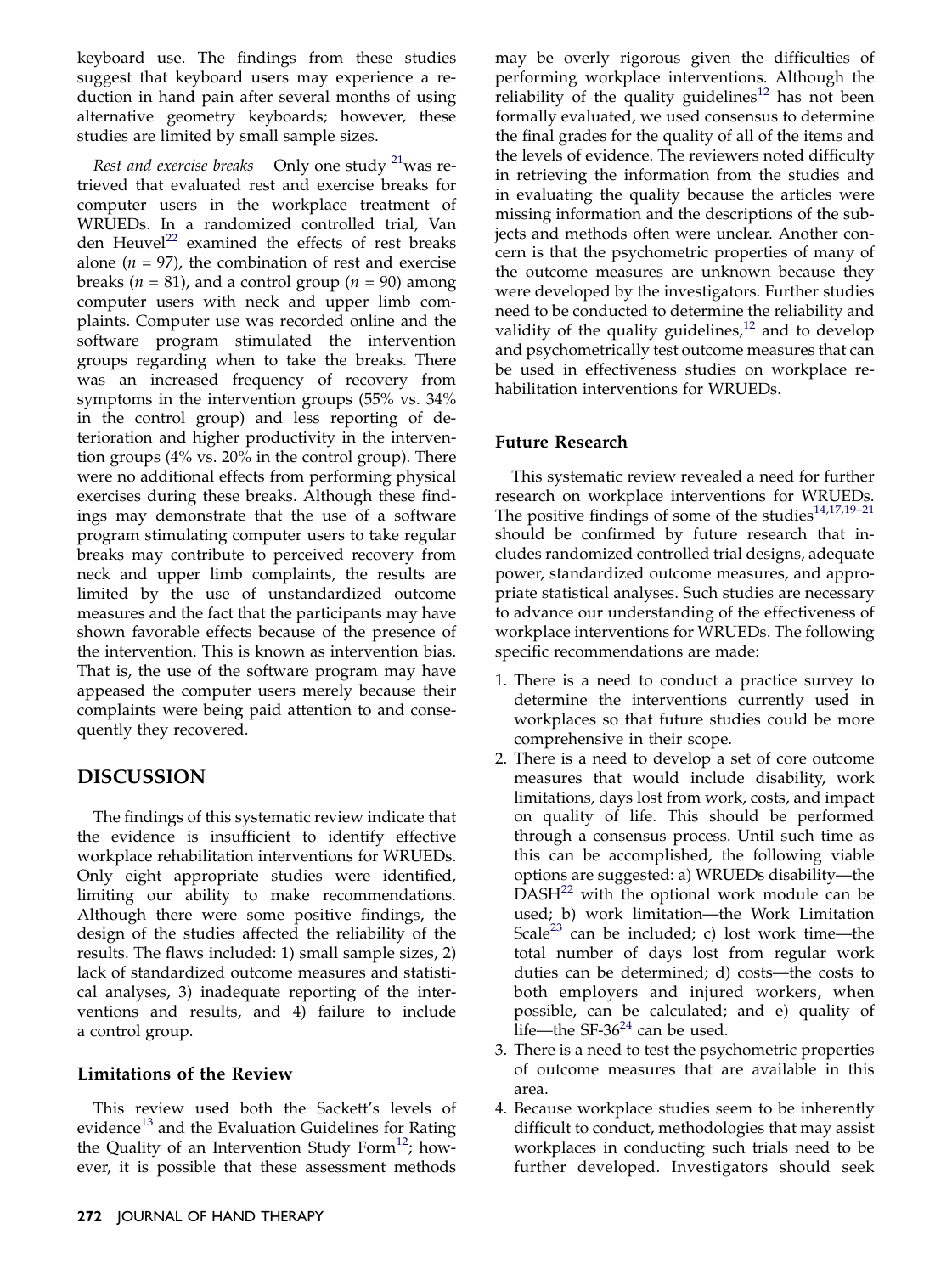keyboard use. The findings from these studies suggest that keyboard users may experience a reduction in hand pain after several months of using alternative geometry keyboards; however, these studies are limited by small sample sizes.

Rest and exercise breaks Only one study  $^{21}$  $^{21}$  $^{21}$  was retrieved that evaluated rest and exercise breaks for computer users in the workplace treatment of WRUEDs. In a randomized controlled trial, Van den Heuvel<sup>[22](#page-6-0)</sup> examined the effects of rest breaks alone ( $n = 97$ ), the combination of rest and exercise breaks ( $n = 81$ ), and a control group ( $n = 90$ ) among computer users with neck and upper limb complaints. Computer use was recorded online and the software program stimulated the intervention groups regarding when to take the breaks. There was an increased frequency of recovery from symptoms in the intervention groups (55% vs. 34% in the control group) and less reporting of deterioration and higher productivity in the intervention groups (4% vs. 20% in the control group). There were no additional effects from performing physical exercises during these breaks. Although these findings may demonstrate that the use of a software program stimulating computer users to take regular breaks may contribute to perceived recovery from neck and upper limb complaints, the results are limited by the use of unstandardized outcome measures and the fact that the participants may have shown favorable effects because of the presence of the intervention. This is known as intervention bias. That is, the use of the software program may have appeased the computer users merely because their complaints were being paid attention to and consequently they recovered.

## DISCUSSION

The findings of this systematic review indicate that the evidence is insufficient to identify effective workplace rehabilitation interventions for WRUEDs. Only eight appropriate studies were identified, limiting our ability to make recommendations. Although there were some positive findings, the design of the studies affected the reliability of the results. The flaws included: 1) small sample sizes, 2) lack of standardized outcome measures and statistical analyses, 3) inadequate reporting of the interventions and results, and 4) failure to include a control group.

## Limitations of the Review

This review used both the Sackett's levels of evidence<sup>[13](#page-6-0)</sup> and the Evaluation Guidelines for Rating the Quality of an Intervention Study Form $^{12}$  $^{12}$  $^{12}$ ; however, it is possible that these assessment methods

may be overly rigorous given the difficulties of performing workplace interventions. Although the reliability of the quality guidelines<sup>[12](#page-6-0)</sup> has not been formally evaluated, we used consensus to determine the final grades for the quality of all of the items and the levels of evidence. The reviewers noted difficulty in retrieving the information from the studies and in evaluating the quality because the articles were missing information and the descriptions of the subjects and methods often were unclear. Another concern is that the psychometric properties of many of the outcome measures are unknown because they were developed by the investigators. Further studies need to be conducted to determine the reliability and validity of the quality guidelines, $12$  and to develop and psychometrically test outcome measures that can be used in effectiveness studies on workplace rehabilitation interventions for WRUEDs.

## Future Research

This systematic review revealed a need for further research on workplace interventions for WRUEDs. The positive findings of some of the studies $14,17,19-21$ should be confirmed by future research that includes randomized controlled trial designs, adequate power, standardized outcome measures, and appropriate statistical analyses. Such studies are necessary to advance our understanding of the effectiveness of workplace interventions for WRUEDs. The following specific recommendations are made:

- 1. There is a need to conduct a practice survey to determine the interventions currently used in workplaces so that future studies could be more comprehensive in their scope.
- 2. There is a need to develop a set of core outcome measures that would include disability, work limitations, days lost from work, costs, and impact on quality of life. This should be performed through a consensus process. Until such time as this can be accomplished, the following viable options are suggested: a) WRUEDs disability—the  $DASH^{22}$  $DASH^{22}$  $DASH^{22}$  with the optional work module can be used; b) work limitation—the Work Limitation Scale<sup>[23](#page-6-0)</sup> can be included; c) lost work time—the total number of days lost from regular work duties can be determined; d) costs—the costs to both employers and injured workers, when possible, can be calculated; and e) quality of life—the SF-36 $24$  can be used.
- 3. There is a need to test the psychometric properties of outcome measures that are available in this area.
- 4. Because workplace studies seem to be inherently difficult to conduct, methodologies that may assist workplaces in conducting such trials need to be further developed. Investigators should seek